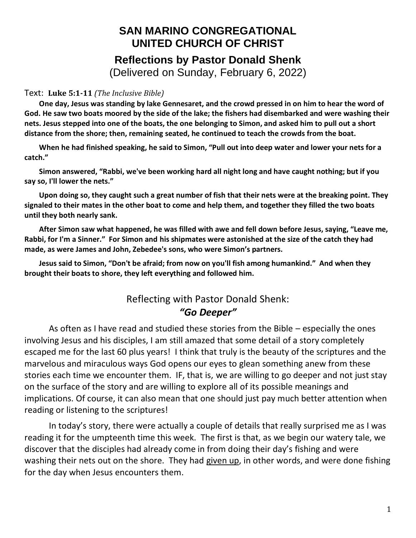## **SAN MARINO CONGREGATIONAL UNITED CHURCH OF CHRIST Reflections by Pastor Donald Shenk**

(Delivered on Sunday, February 6, 2022)

## Text: **Luke 5:1-11** *(The Inclusive Bible)*

**One day, Jesus was standing by lake Gennesaret, and the crowd pressed in on him to hear the word of God. He saw two boats moored by the side of the lake; the fishers had disembarked and were washing their nets. Jesus stepped into one of the boats, the one belonging to Simon, and asked him to pull out a short distance from the shore; then, remaining seated, he continued to teach the crowds from the boat.** 

**When he had finished speaking, he said to Simon, "Pull out into deep water and lower your nets for a catch."**

**Simon answered, "Rabbi, we've been working hard all night long and have caught nothing; but if you say so, I'll lower the nets."**

**Upon doing so, they caught such a great number of fish that their nets were at the breaking point. They signaled to their mates in the other boat to come and help them, and together they filled the two boats until they both nearly sank.**

**After Simon saw what happened, he was filled with awe and fell down before Jesus, saying, "Leave me, Rabbi, for I'm a Sinner." For Simon and his shipmates were astonished at the size of the catch they had made, as were James and John, Zebedee's sons, who were Simon's partners.** 

**Jesus said to Simon, "Don't be afraid; from now on you'll fish among humankind." And when they brought their boats to shore, they left everything and followed him.**

## Reflecting with Pastor Donald Shenk: *"Go Deeper"*

As often as I have read and studied these stories from the Bible – especially the ones involving Jesus and his disciples, I am still amazed that some detail of a story completely escaped me for the last 60 plus years! I think that truly is the beauty of the scriptures and the marvelous and miraculous ways God opens our eyes to glean something anew from these stories each time we encounter them. IF, that is, we are willing to go deeper and not just stay on the surface of the story and are willing to explore all of its possible meanings and implications. Of course, it can also mean that one should just pay much better attention when reading or listening to the scriptures!

In today's story, there were actually a couple of details that really surprised me as I was reading it for the umpteenth time this week. The first is that, as we begin our watery tale, we discover that the disciples had already come in from doing their day's fishing and were washing their nets out on the shore. They had given up, in other words, and were done fishing for the day when Jesus encounters them.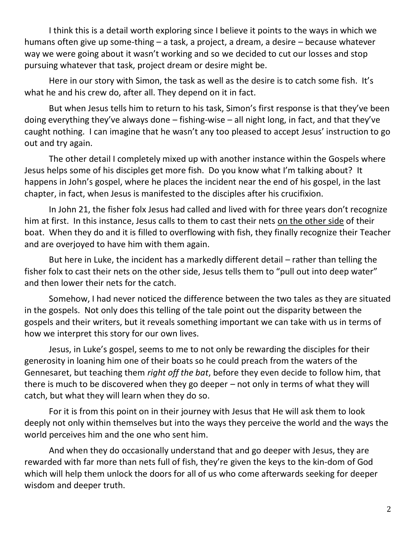I think this is a detail worth exploring since I believe it points to the ways in which we humans often give up some-thing – a task, a project, a dream, a desire – because whatever way we were going about it wasn't working and so we decided to cut our losses and stop pursuing whatever that task, project dream or desire might be.

Here in our story with Simon, the task as well as the desire is to catch some fish. It's what he and his crew do, after all. They depend on it in fact.

But when Jesus tells him to return to his task, Simon's first response is that they've been doing everything they've always done  $-$  fishing-wise  $-$  all night long, in fact, and that they've caught nothing. I can imagine that he wasn't any too pleased to accept Jesus' instruction to go out and try again.

The other detail I completely mixed up with another instance within the Gospels where Jesus helps some of his disciples get more fish. Do you know what I'm talking about? It happens in John's gospel, where he places the incident near the end of his gospel, in the last chapter, in fact, when Jesus is manifested to the disciples after his crucifixion.

In John 21, the fisher folx Jesus had called and lived with for three years don't recognize him at first. In this instance, Jesus calls to them to cast their nets on the other side of their boat. When they do and it is filled to overflowing with fish, they finally recognize their Teacher and are overjoyed to have him with them again.

But here in Luke, the incident has a markedly different detail – rather than telling the fisher folx to cast their nets on the other side, Jesus tells them to "pull out into deep water" and then lower their nets for the catch.

Somehow, I had never noticed the difference between the two tales as they are situated in the gospels. Not only does this telling of the tale point out the disparity between the gospels and their writers, but it reveals something important we can take with us in terms of how we interpret this story for our own lives.

Jesus, in Luke's gospel, seems to me to not only be rewarding the disciples for their generosity in loaning him one of their boats so he could preach from the waters of the Gennesaret, but teaching them *right off the bat*, before they even decide to follow him, that there is much to be discovered when they go deeper – not only in terms of what they will catch, but what they will learn when they do so.

For it is from this point on in their journey with Jesus that He will ask them to look deeply not only within themselves but into the ways they perceive the world and the ways the world perceives him and the one who sent him.

And when they do occasionally understand that and go deeper with Jesus, they are rewarded with far more than nets full of fish, they're given the keys to the kin-dom of God which will help them unlock the doors for all of us who come afterwards seeking for deeper wisdom and deeper truth.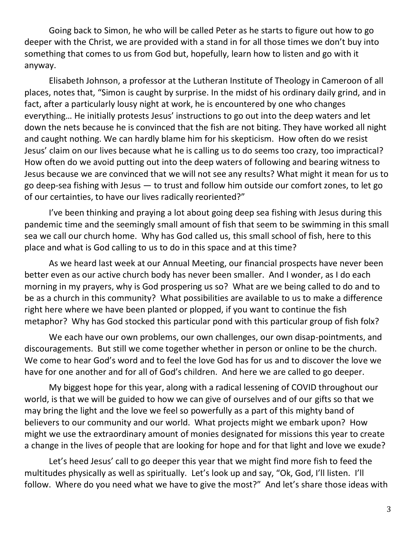Going back to Simon, he who will be called Peter as he starts to figure out how to go deeper with the Christ, we are provided with a stand in for all those times we don't buy into something that comes to us from God but, hopefully, learn how to listen and go with it anyway.

Elisabeth Johnson, a professor at the Lutheran Institute of Theology in Cameroon of all places, notes that, "Simon is caught by surprise. In the midst of his ordinary daily grind, and in fact, after a particularly lousy night at work, he is encountered by one who changes everything… He initially protests Jesus' instructions to go out into the deep waters and let down the nets because he is convinced that the fish are not biting. They have worked all night and caught nothing. We can hardly blame him for his skepticism. How often do we resist Jesus' claim on our lives because what he is calling us to do seems too crazy, too impractical? How often do we avoid putting out into the deep waters of following and bearing witness to Jesus because we are convinced that we will not see any results? What might it mean for us to go deep-sea fishing with Jesus — to trust and follow him outside our comfort zones, to let go of our certainties, to have our lives radically reoriented?"

I've been thinking and praying a lot about going deep sea fishing with Jesus during this pandemic time and the seemingly small amount of fish that seem to be swimming in this small sea we call our church home. Why has God called us, this small school of fish, here to this place and what is God calling to us to do in this space and at this time?

As we heard last week at our Annual Meeting, our financial prospects have never been better even as our active church body has never been smaller. And I wonder, as I do each morning in my prayers, why is God prospering us so? What are we being called to do and to be as a church in this community? What possibilities are available to us to make a difference right here where we have been planted or plopped, if you want to continue the fish metaphor? Why has God stocked this particular pond with this particular group of fish folx?

We each have our own problems, our own challenges, our own disap-pointments, and discouragements. But still we come together whether in person or online to be the church. We come to hear God's word and to feel the love God has for us and to discover the love we have for one another and for all of God's children. And here we are called to go deeper.

My biggest hope for this year, along with a radical lessening of COVID throughout our world, is that we will be guided to how we can give of ourselves and of our gifts so that we may bring the light and the love we feel so powerfully as a part of this mighty band of believers to our community and our world. What projects might we embark upon? How might we use the extraordinary amount of monies designated for missions this year to create a change in the lives of people that are looking for hope and for that light and love we exude?

Let's heed Jesus' call to go deeper this year that we might find more fish to feed the multitudes physically as well as spiritually. Let's look up and say, "Ok, God, I'll listen. I'll follow. Where do you need what we have to give the most?" And let's share those ideas with